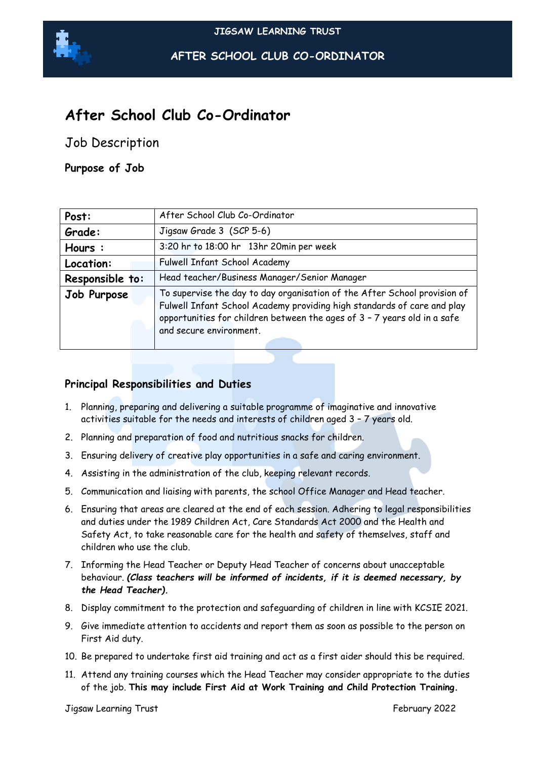

**AFTER SCHOOL CLUB CO-ORDINATOR**

# **After School Club Co-Ordinator**

Job Description

**Purpose of Job**

| Post:           | After School Club Co-Ordinator                                                                                                                                                                                                                              |
|-----------------|-------------------------------------------------------------------------------------------------------------------------------------------------------------------------------------------------------------------------------------------------------------|
| Grade:          | Jigsaw Grade 3 (SCP 5-6)                                                                                                                                                                                                                                    |
| Hours:          | 3:20 hr to 18:00 hr 13hr 20min per week                                                                                                                                                                                                                     |
| Location:       | Fulwell Infant School Academy                                                                                                                                                                                                                               |
| Responsible to: | Head teacher/Business Manager/Senior Manager                                                                                                                                                                                                                |
| Job Purpose     | To supervise the day to day organisation of the After School provision of<br>Fulwell Infant School Academy providing high standards of care and play<br>opportunities for children between the ages of 3 - 7 years old in a safe<br>and secure environment. |

## **Principal Responsibilities and Duties**

- 1. Planning, preparing and delivering a suitable programme of imaginative and innovative activities suitable for the needs and interests of children aged 3 – 7 years old.
- 2. Planning and preparation of food and nutritious snacks for children.
- 3. Ensuring delivery of creative play opportunities in a safe and caring environment.
- 4. Assisting in the administration of the club, keeping relevant records.
- 5. Communication and liaising with parents, the school Office Manager and Head teacher.
- 6. Ensuring that areas are cleared at the end of each session. Adhering to legal responsibilities and duties under the 1989 Children Act, Care Standards Act 2000 and the Health and Safety Act, to take reasonable care for the health and safety of themselves, staff and children who use the club.
- 7. Informing the Head Teacher or Deputy Head Teacher of concerns about unacceptable behaviour. *(Class teachers will be informed of incidents, if it is deemed necessary, by the Head Teacher).*
- 8. Display commitment to the protection and safeguarding of children in line with KCSIE 2021.
- 9. Give immediate attention to accidents and report them as soon as possible to the person on First Aid duty.
- 10. Be prepared to undertake first aid training and act as a first aider should this be required.
- 11. Attend any training courses which the Head Teacher may consider appropriate to the duties of the job. **This may include First Aid at Work Training and Child Protection Training.**

Jigsaw Learning Trust February 2022